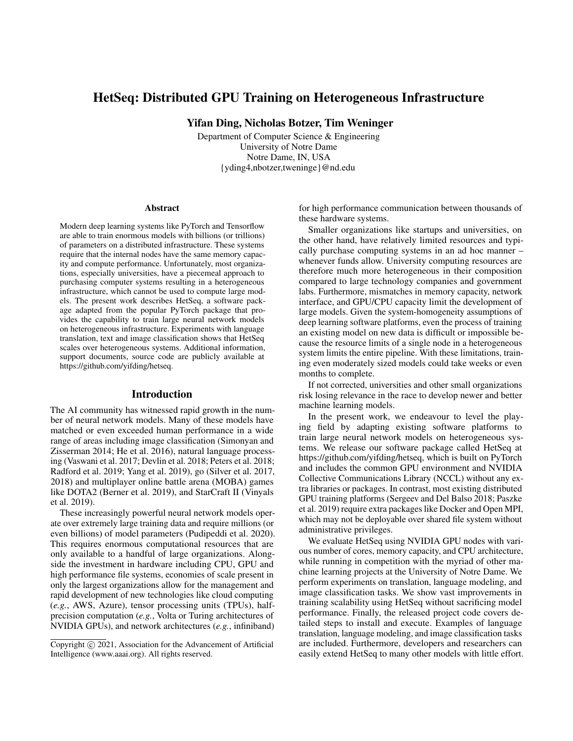# HetSeq: Distributed GPU Training on Heterogeneous Infrastructure

Yifan Ding, Nicholas Botzer, Tim Weninger

Department of Computer Science & Engineering University of Notre Dame Notre Dame, IN, USA {yding4,nbotzer,tweninge}@nd.edu

#### Abstract

Modern deep learning systems like PyTorch and Tensorflow are able to train enormous models with billions (or trillions) of parameters on a distributed infrastructure. These systems require that the internal nodes have the same memory capacity and compute performance. Unfortunately, most organizations, especially universities, have a piecemeal approach to purchasing computer systems resulting in a heterogeneous infrastructure, which cannot be used to compute large models. The present work describes HetSeq, a software package adapted from the popular PyTorch package that provides the capability to train large neural network models on heterogeneous infrastructure. Experiments with language translation, text and image classification shows that HetSeq scales over heterogeneous systems. Additional information, support documents, source code are publicly available at https://github.com/yifding/hetseq.

#### Introduction

The AI community has witnessed rapid growth in the number of neural network models. Many of these models have matched or even exceeded human performance in a wide range of areas including image classification (Simonyan and Zisserman 2014; He et al. 2016), natural language processing (Vaswani et al. 2017; Devlin et al. 2018; Peters et al. 2018; Radford et al. 2019; Yang et al. 2019), go (Silver et al. 2017, 2018) and multiplayer online battle arena (MOBA) games like DOTA2 (Berner et al. 2019), and StarCraft II (Vinyals et al. 2019).

These increasingly powerful neural network models operate over extremely large training data and require millions (or even billions) of model parameters (Pudipeddi et al. 2020). This requires enormous computational resources that are only available to a handful of large organizations. Alongside the investment in hardware including CPU, GPU and high performance file systems, economies of scale present in only the largest organizations allow for the management and rapid development of new technologies like cloud computing (*e.g.*, AWS, Azure), tensor processing units (TPUs), halfprecision computation (*e.g.*, Volta or Turing architectures of NVIDIA GPUs), and network architectures (*e.g.*, infiniband) for high performance communication between thousands of these hardware systems.

Smaller organizations like startups and universities, on the other hand, have relatively limited resources and typically purchase computing systems in an ad hoc manner – whenever funds allow. University computing resources are therefore much more heterogeneous in their composition compared to large technology companies and government labs. Furthermore, mismatches in memory capacity, network interface, and GPU/CPU capacity limit the development of large models. Given the system-homogeneity assumptions of deep learning software platforms, even the process of training an existing model on new data is difficult or impossible because the resource limits of a single node in a heterogeneous system limits the entire pipeline. With these limitations, training even moderately sized models could take weeks or even months to complete.

If not corrected, universities and other small organizations risk losing relevance in the race to develop newer and better machine learning models.

In the present work, we endeavour to level the playing field by adapting existing software platforms to train large neural network models on heterogeneous systems. We release our software package called HetSeq at https://github.com/yifding/hetseq, which is built on PyTorch and includes the common GPU environment and NVIDIA Collective Communications Library (NCCL) without any extra libraries or packages. In contrast, most existing distributed GPU training platforms (Sergeev and Del Balso 2018; Paszke et al. 2019) require extra packages like Docker and Open MPI, which may not be deployable over shared file system without administrative privileges.

We evaluate HetSeq using NVIDIA GPU nodes with various number of cores, memory capacity, and CPU architecture, while running in competition with the myriad of other machine learning projects at the University of Notre Dame. We perform experiments on translation, language modeling, and image classification tasks. We show vast improvements in training scalability using HetSeq without sacrificing model performance. Finally, the released project code covers detailed steps to install and execute. Examples of language translation, language modeling, and image classification tasks are included. Furthermore, developers and researchers can easily extend HetSeq to many other models with little effort.

Copyright © 2021, Association for the Advancement of Artificial Intelligence (www.aaai.org). All rights reserved.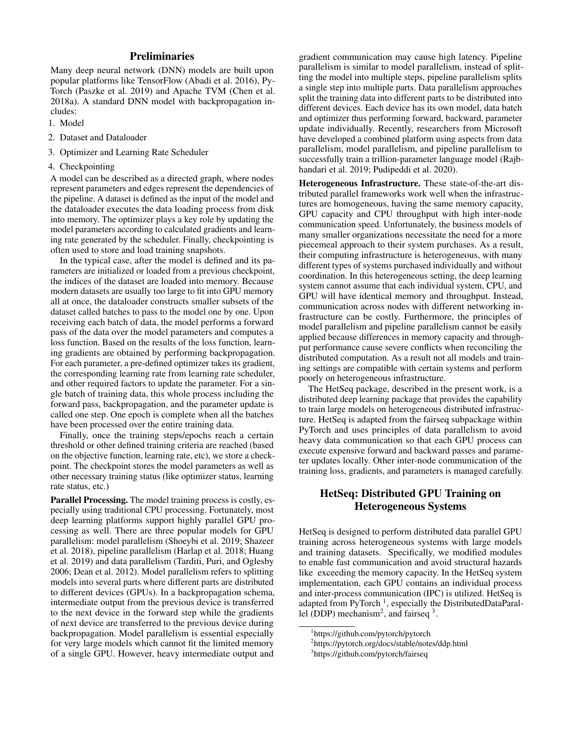# **Preliminaries**

Many deep neural network (DNN) models are built upon popular platforms like TensorFlow (Abadi et al. 2016), Py-Torch (Paszke et al. 2019) and Apache TVM (Chen et al. 2018a). A standard DNN model with backpropagation includes:

- 1. Model
- 2. Dataset and Dataloader
- 3. Optimizer and Learning Rate Scheduler
- 4. Checkpointing

A model can be described as a directed graph, where nodes represent parameters and edges represent the dependencies of the pipeline. A dataset is defined as the input of the model and the dataloader executes the data loading process from disk into memory. The optimizer plays a key role by updating the model parameters according to calculated gradients and learning rate generated by the scheduler. Finally, checkpointing is often used to store and load training snapshots.

In the typical case, after the model is defined and its parameters are initialized or loaded from a previous checkpoint, the indices of the dataset are loaded into memory. Because modern datasets are usually too large to fit into GPU memory all at once, the dataloader constructs smaller subsets of the dataset called batches to pass to the model one by one. Upon receiving each batch of data, the model performs a forward pass of the data over the model parameters and computes a loss function. Based on the results of the loss function, learning gradients are obtained by performing backpropagation. For each parameter, a pre-defined optimizer takes its gradient, the corresponding learning rate from learning rate scheduler, and other required factors to update the parameter. For a single batch of training data, this whole process including the forward pass, backpropagation, and the parameter update is called one step. One epoch is complete when all the batches have been processed over the entire training data.

Finally, once the training steps/epochs reach a certain threshold or other defined training criteria are reached (based on the objective function, learning rate, etc), we store a checkpoint. The checkpoint stores the model parameters as well as other necessary training status (like optimizer status, learning rate status, etc.)

Parallel Processing. The model training process is costly, especially using traditional CPU processing. Fortunately, most deep learning platforms support highly parallel GPU processing as well. There are three popular models for GPU parallelism: model parallelism (Shoeybi et al. 2019; Shazeer et al. 2018), pipeline parallelism (Harlap et al. 2018; Huang et al. 2019) and data parallelism (Tarditi, Puri, and Oglesby 2006; Dean et al. 2012). Model parallelism refers to splitting models into several parts where different parts are distributed to different devices (GPUs). In a backpropagation schema, intermediate output from the previous device is transferred to the next device in the forward step while the gradients of next device are transferred to the previous device during backpropagation. Model parallelism is essential especially for very large models which cannot fit the limited memory of a single GPU. However, heavy intermediate output and

gradient communication may cause high latency. Pipeline parallelism is similar to model parallelism, instead of splitting the model into multiple steps, pipeline parallelism splits a single step into multiple parts. Data parallelism approaches split the training data into different parts to be distributed into different devices. Each device has its own model, data batch and optimizer thus performing forward, backward, parameter update individually. Recently, researchers from Microsoft have developed a combined platform using aspects from data parallelism, model parallelism, and pipeline parallelism to successfully train a trillion-parameter language model (Rajbhandari et al. 2019; Pudipeddi et al. 2020).

Heterogeneous Infrastructure. These state-of-the-art distributed parallel frameworks work well when the infrastructures are homogeneous, having the same memory capacity, GPU capacity and CPU throughput with high inter-node communication speed. Unfortunately, the business models of many smaller organizations necessitate the need for a more piecemeal approach to their system purchases. As a result, their computing infrastructure is heterogeneous, with many different types of systems purchased individually and without coordination. In this heterogeneous setting, the deep learning system cannot assume that each individual system, CPU, and GPU will have identical memory and throughput. Instead, communication across nodes with different networking infrastructure can be costly. Furthermore, the principles of model parallelism and pipeline parallelism cannot be easily applied because differences in memory capacity and throughput performance cause severe conflicts when reconciling the distributed computation. As a result not all models and training settings are compatible with certain systems and perform poorly on heterogeneous infrastructure.

The HetSeq package, described in the present work, is a distributed deep learning package that provides the capability to train large models on heterogeneous distributed infrastructure. HetSeq is adapted from the fairseq subpackage within PyTorch and uses principles of data parallelism to avoid heavy data communication so that each GPU process can execute expensive forward and backward passes and parameter updates locally. Other inter-node communication of the training loss, gradients, and parameters is managed carefully.

# HetSeq: Distributed GPU Training on Heterogeneous Systems

HetSeq is designed to perform distributed data parallel GPU training across heterogeneous systems with large models and training datasets. Specifically, we modified modules to enable fast communication and avoid structural hazards like exceeding the memory capacity. In the HetSeq system implementation, each GPU contains an individual process and inter-process communication (IPC) is utilized. HetSeq is adapted from PyTorch<sup>1</sup>, especially the DistributedDataParallel (DDP) mechanism<sup>2</sup>, and fairseq  $3$ .

<sup>1</sup> https://github.com/pytorch/pytorch

<sup>2</sup> https://pytorch.org/docs/stable/notes/ddp.html

<sup>3</sup> https://github.com/pytorch/fairseq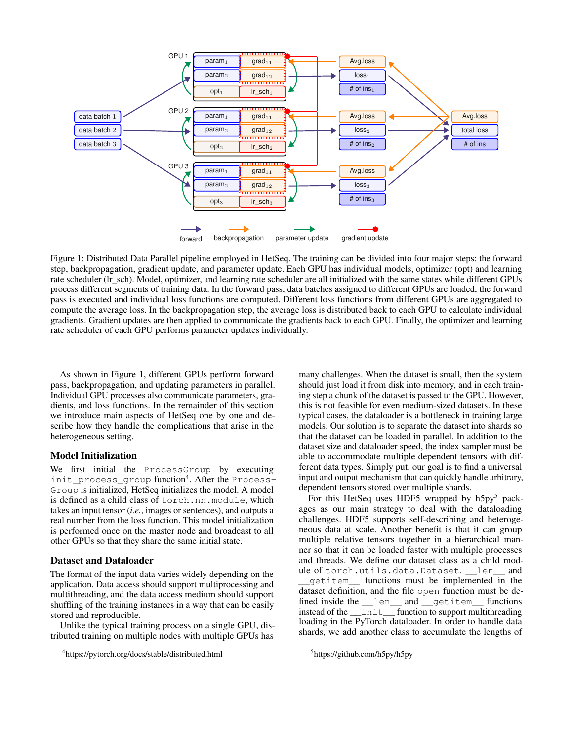

Figure 1: Distributed Data Parallel pipeline employed in HetSeq. The training can be divided into four major steps: the forward step, backpropagation, gradient update, and parameter update. Each GPU has individual models, optimizer (opt) and learning rate scheduler (Ir sch). Model, optimizer, and learning rate scheduler are all initialized with the same states while different GPUs process different segments of training data. In the forward pass, data batches assigned to different GPUs are loaded, the forward pass is executed and individual loss functions are computed. Different loss functions from different GPUs are aggregated to compute the average loss. In the backpropagation step, the average loss is distributed back to each GPU to calculate individual gradients. Gradient updates are then applied to communicate the gradients back to each GPU. Finally, the optimizer and learning rate scheduler of each GPU performs parameter updates individually.

As shown in Figure 1, different GPUs perform forward pass, backpropagation, and updating parameters in parallel. Individual GPU processes also communicate parameters, gradients, and loss functions. In the remainder of this section we introduce main aspects of HetSeq one by one and describe how they handle the complications that arise in the heterogeneous setting.

#### Model Initialization

We first initial the ProcessGroup by executing init\_process\_group function<sup>4</sup> . After the Process-Group is initialized, HetSeq initializes the model. A model is defined as a child class of torch.nn.module, which takes an input tensor (*i.e.*, images or sentences), and outputs a real number from the loss function. This model initialization is performed once on the master node and broadcast to all other GPUs so that they share the same initial state.

#### Dataset and Dataloader

The format of the input data varies widely depending on the application. Data access should support multiprocessing and multithreading, and the data access medium should support shuffling of the training instances in a way that can be easily stored and reproducible.

Unlike the typical training process on a single GPU, distributed training on multiple nodes with multiple GPUs has

many challenges. When the dataset is small, then the system should just load it from disk into memory, and in each training step a chunk of the dataset is passed to the GPU. However, this is not feasible for even medium-sized datasets. In these typical cases, the dataloader is a bottleneck in training large models. Our solution is to separate the dataset into shards so that the dataset can be loaded in parallel. In addition to the dataset size and dataloader speed, the index sampler must be able to accommodate multiple dependent tensors with different data types. Simply put, our goal is to find a universal input and output mechanism that can quickly handle arbitrary, dependent tensors stored over multiple shards.

For this HetSeq uses HDF5 wrapped by  $h5py^5$  packages as our main strategy to deal with the dataloading challenges. HDF5 supports self-describing and heterogeneous data at scale. Another benefit is that it can group multiple relative tensors together in a hierarchical manner so that it can be loaded faster with multiple processes and threads. We define our dataset class as a child module of torch.utils.data.Dataset. \_\_len\_\_ and \_\_getitem\_\_ functions must be implemented in the dataset definition, and the file open function must be defined inside the \_\_len\_\_ and \_\_getitem\_\_ functions instead of the \_\_init\_\_ function to support multithreading loading in the PyTorch dataloader. In order to handle data shards, we add another class to accumulate the lengths of

<sup>4</sup> https://pytorch.org/docs/stable/distributed.html

<sup>5</sup> https://github.com/h5py/h5py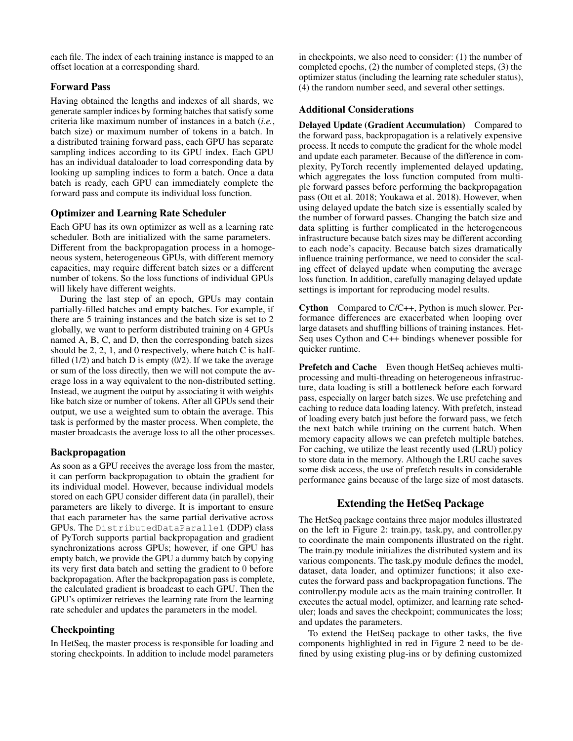each file. The index of each training instance is mapped to an offset location at a corresponding shard.

# Forward Pass

Having obtained the lengths and indexes of all shards, we generate sampler indices by forming batches that satisfy some criteria like maximum number of instances in a batch (*i.e.*, batch size) or maximum number of tokens in a batch. In a distributed training forward pass, each GPU has separate sampling indices according to its GPU index. Each GPU has an individual dataloader to load corresponding data by looking up sampling indices to form a batch. Once a data batch is ready, each GPU can immediately complete the forward pass and compute its individual loss function.

## Optimizer and Learning Rate Scheduler

Each GPU has its own optimizer as well as a learning rate scheduler. Both are initialized with the same parameters. Different from the backpropagation process in a homogeneous system, heterogeneous GPUs, with different memory capacities, may require different batch sizes or a different number of tokens. So the loss functions of individual GPUs will likely have different weights.

During the last step of an epoch, GPUs may contain partially-filled batches and empty batches. For example, if there are 5 training instances and the batch size is set to 2 globally, we want to perform distributed training on 4 GPUs named A, B, C, and D, then the corresponding batch sizes should be 2, 2, 1, and 0 respectively, where batch C is halffilled  $(1/2)$  and batch D is empty  $(0/2)$ . If we take the average or sum of the loss directly, then we will not compute the average loss in a way equivalent to the non-distributed setting. Instead, we augment the output by associating it with weights like batch size or number of tokens. After all GPUs send their output, we use a weighted sum to obtain the average. This task is performed by the master process. When complete, the master broadcasts the average loss to all the other processes.

## Backpropagation

As soon as a GPU receives the average loss from the master, it can perform backpropagation to obtain the gradient for its individual model. However, because individual models stored on each GPU consider different data (in parallel), their parameters are likely to diverge. It is important to ensure that each parameter has the same partial derivative across GPUs. The DistributedDataParallel (DDP) class of PyTorch supports partial backpropagation and gradient synchronizations across GPUs; however, if one GPU has empty batch, we provide the GPU a dummy batch by copying its very first data batch and setting the gradient to 0 before backpropagation. After the backpropagation pass is complete, the calculated gradient is broadcast to each GPU. Then the GPU's optimizer retrieves the learning rate from the learning rate scheduler and updates the parameters in the model.

## Checkpointing

In HetSeq, the master process is responsible for loading and storing checkpoints. In addition to include model parameters

in checkpoints, we also need to consider: (1) the number of completed epochs, (2) the number of completed steps, (3) the optimizer status (including the learning rate scheduler status), (4) the random number seed, and several other settings.

# Additional Considerations

Delayed Update (Gradient Accumulation) Compared to the forward pass, backpropagation is a relatively expensive process. It needs to compute the gradient for the whole model and update each parameter. Because of the difference in complexity, PyTorch recently implemented delayed updating, which aggregates the loss function computed from multiple forward passes before performing the backpropagation pass (Ott et al. 2018; Youkawa et al. 2018). However, when using delayed update the batch size is essentially scaled by the number of forward passes. Changing the batch size and data splitting is further complicated in the heterogeneous infrastructure because batch sizes may be different according to each node's capacity. Because batch sizes dramatically influence training performance, we need to consider the scaling effect of delayed update when computing the average loss function. In addition, carefully managing delayed update settings is important for reproducing model results.

Cython Compared to C/C++, Python is much slower. Performance differences are exacerbated when looping over large datasets and shuffling billions of training instances. Het-Seq uses Cython and C++ bindings whenever possible for quicker runtime.

Prefetch and Cache Even though HetSeq achieves multiprocessing and multi-threading on heterogeneous infrastructure, data loading is still a bottleneck before each forward pass, especially on larger batch sizes. We use prefetching and caching to reduce data loading latency. With prefetch, instead of loading every batch just before the forward pass, we fetch the next batch while training on the current batch. When memory capacity allows we can prefetch multiple batches. For caching, we utilize the least recently used (LRU) policy to store data in the memory. Although the LRU cache saves some disk access, the use of prefetch results in considerable performance gains because of the large size of most datasets.

# Extending the HetSeq Package

The HetSeq package contains three major modules illustrated on the left in Figure 2: train.py, task.py, and controller.py to coordinate the main components illustrated on the right. The train.py module initializes the distributed system and its various components. The task.py module defines the model, dataset, data loader, and optimizer functions; it also executes the forward pass and backpropagation functions. The controller.py module acts as the main training controller. It executes the actual model, optimizer, and learning rate scheduler; loads and saves the checkpoint; communicates the loss; and updates the parameters.

To extend the HetSeq package to other tasks, the five components highlighted in red in Figure 2 need to be defined by using existing plug-ins or by defining customized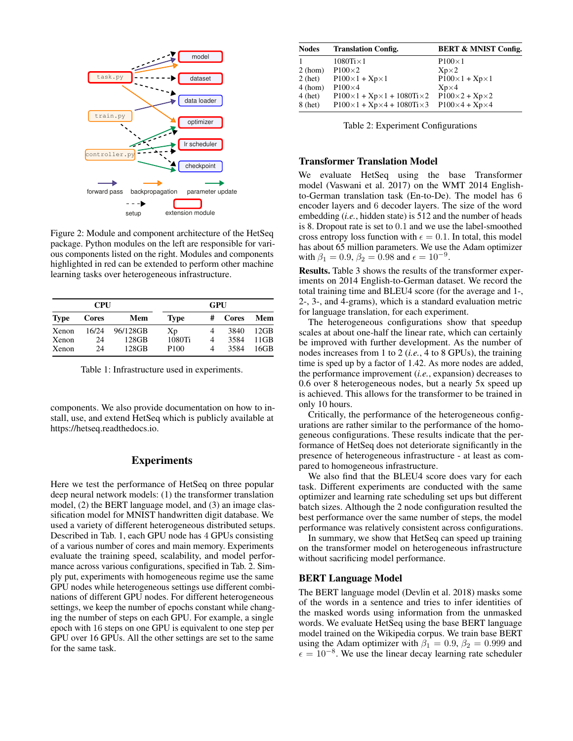

Figure 2: Module and component architecture of the HetSeq package. Python modules on the left are responsible for various components listed on the right. Modules and components highlighted in red can be extended to perform other machine learning tasks over heterogeneous infrastructure.

|             | <b>CPU</b> |          | GPU              |   |              |      |  |  |
|-------------|------------|----------|------------------|---|--------------|------|--|--|
| <b>Type</b> | Cores      | Mem      | <b>Type</b>      | # | <b>Cores</b> | Mem  |  |  |
| Xenon       | 16/24      | 96/128GB | Xp               | 4 | 3840         | 12GB |  |  |
| Xenon       | 24         | 128GB    | 1080Ti           | 4 | 3584         | 11GB |  |  |
| Xenon       | 24         | 128GB    | P <sub>100</sub> | 4 | 3584         | 16GB |  |  |

Table 1: Infrastructure used in experiments.

components. We also provide documentation on how to install, use, and extend HetSeq which is publicly available at https://hetseq.readthedocs.io.

### Experiments

Here we test the performance of HetSeq on three popular deep neural network models: (1) the transformer translation model, (2) the BERT language model, and (3) an image classification model for MNIST handwritten digit database. We used a variety of different heterogeneous distributed setups. Described in Tab. 1, each GPU node has 4 GPUs consisting of a various number of cores and main memory. Experiments evaluate the training speed, scalability, and model performance across various configurations, specified in Tab. 2. Simply put, experiments with homogeneous regime use the same GPU nodes while heterogeneous settings use different combinations of different GPU nodes. For different heterogeneous settings, we keep the number of epochs constant while changing the number of steps on each GPU. For example, a single epoch with 16 steps on one GPU is equivalent to one step per GPU over 16 GPUs. All the other settings are set to the same for the same task.

| <b>Nodes</b> | <b>Translation Config.</b>                         | <b>BERT &amp; MNIST Config.</b> |
|--------------|----------------------------------------------------|---------------------------------|
|              | $1080$ Ti $\times$ 1                               | $P100\times1$                   |
| 2(hom)       | $P100\times2$                                      | $Xp\times2$                     |
| $2$ (het)    | $P100\times1+Xp\times1$                            | $P100\times1+Xp\times1$         |
| 4 (hom)      | $P100\times4$                                      | $Xp\times4$                     |
| $4$ (het)    | $P100 \times 1 + Xp \times 1 + 1080$ Ti $\times 2$ | $P100\times2+Xp\times2$         |
| $8$ (het)    | $P100\times1+Xp\times4+1080Ti\times3$              | $P100\times4+Xp\times4$         |

Table 2: Experiment Configurations

#### Transformer Translation Model

We evaluate HetSeq using the base Transformer model (Vaswani et al. 2017) on the WMT 2014 Englishto-German translation task (En-to-De). The model has 6 encoder layers and 6 decoder layers. The size of the word embedding (*i.e.*, hidden state) is 512 and the number of heads is 8. Dropout rate is set to 0.1 and we use the label-smoothed cross entropy loss function with  $\epsilon = 0.1$ . In total, this model has about 65 million parameters. We use the Adam optimizer with  $\beta_1 = 0.9, \beta_2 = 0.98$  and  $\epsilon = 10^{-9}$ .

Results. Table 3 shows the results of the transformer experiments on 2014 English-to-German dataset. We record the total training time and BLEU4 score (for the average and 1-, 2-, 3-, and 4-grams), which is a standard evaluation metric for language translation, for each experiment.

The heterogeneous configurations show that speedup scales at about one-half the linear rate, which can certainly be improved with further development. As the number of nodes increases from 1 to 2 (*i.e.*, 4 to 8 GPUs), the training time is sped up by a factor of 1.42. As more nodes are added, the performance improvement (*i.e.*, expansion) decreases to 0.6 over 8 heterogeneous nodes, but a nearly 5x speed up is achieved. This allows for the transformer to be trained in only 10 hours.

Critically, the performance of the heterogeneous configurations are rather similar to the performance of the homogeneous configurations. These results indicate that the performance of HetSeq does not deteriorate significantly in the presence of heterogeneous infrastructure - at least as compared to homogeneous infrastructure.

We also find that the BLEU4 score does vary for each task. Different experiments are conducted with the same optimizer and learning rate scheduling set ups but different batch sizes. Although the 2 node configuration resulted the best performance over the same number of steps, the model performance was relatively consistent across configurations.

In summary, we show that HetSeq can speed up training on the transformer model on heterogeneous infrastructure without sacrificing model performance.

#### BERT Language Model

The BERT language model (Devlin et al. 2018) masks some of the words in a sentence and tries to infer identities of the masked words using information from the unmasked words. We evaluate HetSeq using the base BERT language model trained on the Wikipedia corpus. We train base BERT using the Adam optimizer with  $\beta_1 = 0.9$ ,  $\beta_2 = 0.999$  and  $\epsilon = 10^{-8}$ . We use the linear decay learning rate scheduler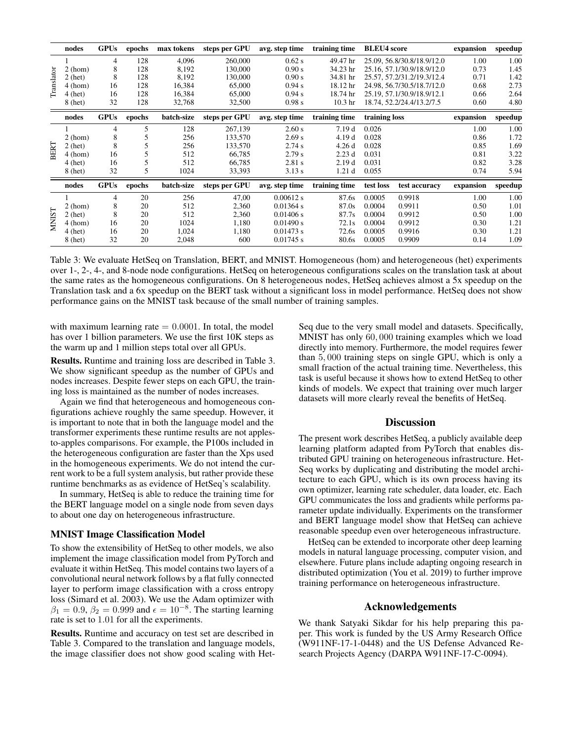|              | nodes     | <b>GPUs</b> | epochs | max tokens | steps per GPU | avg. step time | training time      | <b>BLEU4</b> score        |                            | expansion | speedup |
|--------------|-----------|-------------|--------|------------|---------------|----------------|--------------------|---------------------------|----------------------------|-----------|---------|
| Translator   |           | 4           | 128    | 4,096      | 260,000       | $0.62$ s       | 49.47 hr           |                           | 25.09, 56.8/30.8/18.9/12.0 | 1.00      | 1.00    |
|              | 2(hom)    | 8           | 128    | 8,192      | 130,000       | 0.90 s         | 34.23 hr           |                           | 25.16.57.1/30.9/18.9/12.0  | 0.73      | 1.45    |
|              | $2$ (het) | 8           | 128    | 8,192      | 130,000       | 0.90 s         | 34.81 hr           |                           | 25.57, 57.2/31.2/19.3/12.4 | 0.71      | 1.42    |
|              | 4 (hom)   | 16          | 128    | 16,384     | 65,000        | 0.94 s         | 18.12 hr           |                           | 24.98, 56.7/30.5/18.7/12.0 | 0.68      | 2.73    |
|              | $4$ (het) | 16          | 128    | 16,384     | 65,000        | 0.94 s         | 18.74 hr           |                           | 25.19, 57.1/30.9/18.9/12.1 | 0.66      | 2.64    |
|              | $8$ (het) | 32          | 128    | 32,768     | 32,500        | 0.98 s         | 10.3 <sub>hr</sub> | 18.74, 52.2/24.4/13.2/7.5 |                            | 0.60      | 4.80    |
|              | nodes     | <b>GPUs</b> | epochs | batch-size | steps per GPU | avg. step time | training time      | training loss             |                            | expansion | speedup |
| <b>BERT</b>  |           | 4           | 5      | 128        | 267,139       | 2.60 s         | 7.19d              | 0.026                     |                            | 1.00      | 1.00    |
|              | 2(hom)    | 8           |        | 256        | 133,570       | 2.69 s         | 4.19 d             | 0.028                     |                            | 0.86      | 1.72    |
|              | $2$ (het) | 8           |        | 256        | 133,570       | 2.74 s         | 4.26d              | 0.028                     |                            | 0.85      | 1.69    |
|              | 4 (hom)   | 16          |        | 512        | 66,785        | 2.79 s         | 2.23d              | 0.031                     |                            | 0.81      | 3.22    |
|              | $4$ (het) | 16          |        | 512        | 66,785        | 2.81 s         | 2.19d              | 0.031                     |                            | 0.82      | 3.28    |
|              | $8$ (het) | 32          | 5      | 1024       | 33,393        | 3.13 s         | 1.21 <sub>d</sub>  | 0.055                     |                            | 0.74      | 5.94    |
|              | nodes     | <b>GPUs</b> | epochs | batch-size | steps per GPU | avg. step time | training time      | test loss                 | test accuracy              | expansion | speedup |
| <b>NNIST</b> |           | 4           | 20     | 256        | 47,00         | 0.00612 s      | 87.6s              | 0.0005                    | 0.9918                     | 1.00      | 1.00    |
|              | 2(hom)    | 8           | 20     | 512        | 2,360         | $0.01364$ s    | 87.0s              | 0.0004                    | 0.9911                     | 0.50      | 1.01    |
|              | $2$ (het) | 8           | 20     | 512        | 2,360         | 0.01406 s      | 87.7s              | 0.0004                    | 0.9912                     | 0.50      | 1.00    |
|              | 4 (hom)   | 16          | 20     | 1024       | 1,180         | 0.01490 s      | 72.1s              | 0.0004                    | 0.9912                     | 0.30      | 1.21    |
|              | $4$ (het) | 16          | 20     | 1,024      | 1,180         | 0.01473 s      | 72.6s              | 0.0005                    | 0.9916                     | 0.30      | 1.21    |
|              | $8$ (het) | 32          | 20     | 2,048      | 600           | $0.01745$ s    | 80.6s              | 0.0005                    | 0.9909                     | 0.14      | 1.09    |

Table 3: We evaluate HetSeq on Translation, BERT, and MNIST. Homogeneous (hom) and heterogeneous (het) experiments over 1-, 2-, 4-, and 8-node node configurations. HetSeq on heterogeneous configurations scales on the translation task at about the same rates as the homogeneous configurations. On 8 heterogeneous nodes, HetSeq achieves almost a 5x speedup on the Translation task and a 6x speedup on the BERT task without a significant loss in model performance. HetSeq does not show performance gains on the MNIST task because of the small number of training samples.

with maximum learning rate  $= 0.0001$ . In total, the model has over 1 billion parameters. We use the first 10K steps as the warm up and 1 million steps total over all GPUs.

Results. Runtime and training loss are described in Table 3. We show significant speedup as the number of GPUs and nodes increases. Despite fewer steps on each GPU, the training loss is maintained as the number of nodes increases.

Again we find that heterogeneous and homogeneous configurations achieve roughly the same speedup. However, it is important to note that in both the language model and the transformer experiments these runtime results are not applesto-apples comparisons. For example, the P100s included in the heterogeneous configuration are faster than the Xps used in the homogeneous experiments. We do not intend the current work to be a full system analysis, but rather provide these runtime benchmarks as as evidence of HetSeq's scalability.

In summary, HetSeq is able to reduce the training time for the BERT language model on a single node from seven days to about one day on heterogeneous infrastructure.

#### MNIST Image Classification Model

To show the extensibility of HetSeq to other models, we also implement the image classification model from PyTorch and evaluate it within HetSeq. This model contains two layers of a convolutional neural network follows by a flat fully connected layer to perform image classification with a cross entropy loss (Simard et al. 2003). We use the Adam optimizer with  $\beta_1 = 0.9, \beta_2 = 0.999$  and  $\epsilon = 10^{-8}$ . The starting learning rate is set to 1.01 for all the experiments.

Results. Runtime and accuracy on test set are described in Table 3. Compared to the translation and language models, the image classifier does not show good scaling with HetSeq due to the very small model and datasets. Specifically, MNIST has only 60, 000 training examples which we load directly into memory. Furthermore, the model requires fewer than 5, 000 training steps on single GPU, which is only a small fraction of the actual training time. Nevertheless, this task is useful because it shows how to extend HetSeq to other kinds of models. We expect that training over much larger datasets will more clearly reveal the benefits of HetSeq.

#### **Discussion**

The present work describes HetSeq, a publicly available deep learning platform adapted from PyTorch that enables distributed GPU training on heterogeneous infrastructure. Het-Seq works by duplicating and distributing the model architecture to each GPU, which is its own process having its own optimizer, learning rate scheduler, data loader, etc. Each GPU communicates the loss and gradients while performs parameter update individually. Experiments on the transformer and BERT language model show that HetSeq can achieve reasonable speedup even over heterogeneous infrastructure.

HetSeq can be extended to incorporate other deep learning models in natural language processing, computer vision, and elsewhere. Future plans include adapting ongoing research in distributed optimization (You et al. 2019) to further improve training performance on heterogeneous infrastructure.

#### Acknowledgements

We thank Satyaki Sikdar for his help preparing this paper. This work is funded by the US Army Research Office (W911NF-17-1-0448) and the US Defense Advanced Research Projects Agency (DARPA W911NF-17-C-0094).